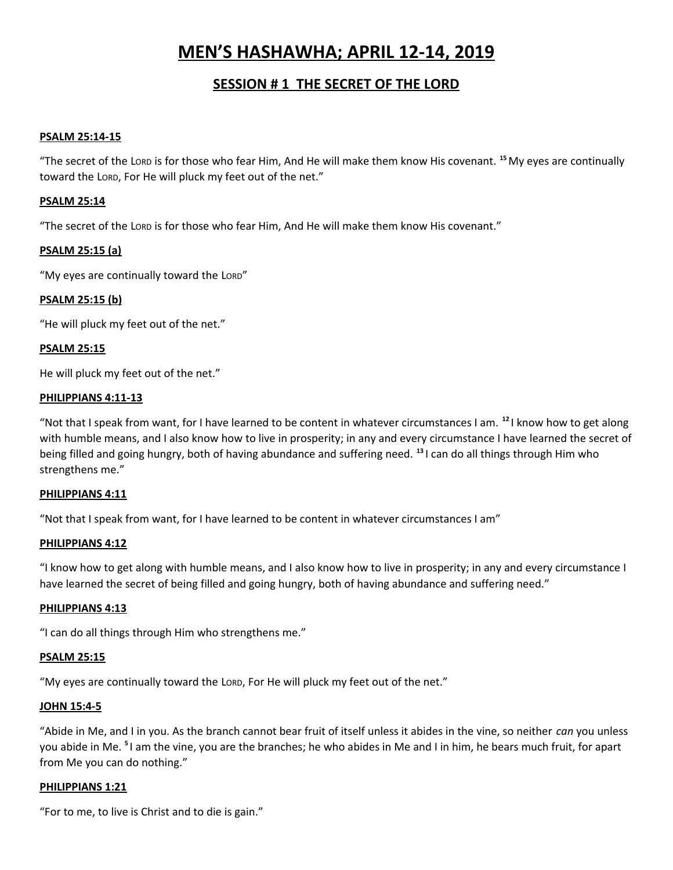# **MEN'S HASHAWHA; APRIL 12-14, 2019**

# **SESSION # 1 THE SECRET OF THE LORD**

#### **PSALM 25:14-15**

"The secret of the LORD is for those who fear Him, And He will make them know His covenant. **<sup>15</sup>**My eyes are continually toward the LORD, For He will pluck my feet out of the net."

#### **PSALM 25:14**

"The secret of the LORD is for those who fear Him, And He will make them know His covenant."

#### **PSALM 25:15 (a)**

"My eyes are continually toward the LORD"

#### **PSALM 25:15 (b)**

"He will pluck my feet out of the net."

#### **PSALM 25:15**

He will pluck my feet out of the net."

#### **PHILIPPIANS 4:11-13**

"Not that I speak from want, for I have learned to be content in whatever circumstances I am. **<sup>12</sup>** I know how to get along with humble means, and I also know how to live in prosperity; in any and every circumstance I have learned the secret of being filled and going hungry, both of having abundance and suffering need. **<sup>13</sup>** I can do all things through Him who strengthens me."

#### **PHILIPPIANS 4:11**

"Not that I speak from want, for I have learned to be content in whatever circumstances I am"

#### **PHILIPPIANS 4:12**

"I know how to get along with humble means, and I also know how to live in prosperity; in any and every circumstance I have learned the secret of being filled and going hungry, both of having abundance and suffering need."

#### **PHILIPPIANS 4:13**

"I can do all things through Him who strengthens me."

#### **PSALM 25:15**

"My eyes are continually toward the LORD, For He will pluck my feet out of the net."

#### **JOHN 15:4-5**

"Abide in Me, and I in you. As the branch cannot bear fruit of itself unless it abides in the vine, so neither *can* you unless you abide in Me. **<sup>5</sup>** I am the vine, you are the branches; he who abides in Me and I in him, he bears much fruit, for apart from Me you can do nothing."

#### **PHILIPPIANS 1:21**

"For to me, to live is Christ and to die is gain."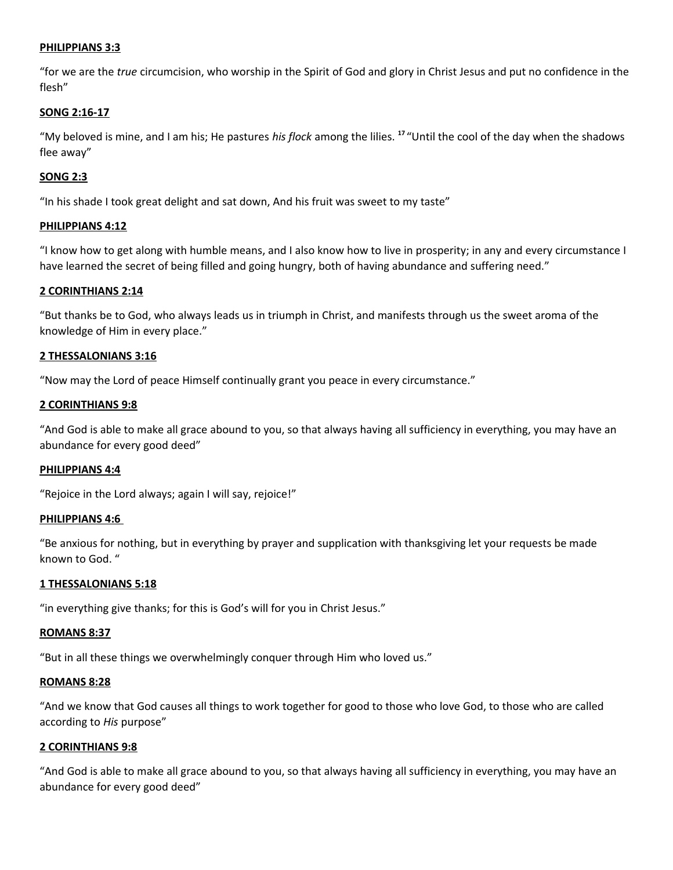#### **PHILIPPIANS 3:3**

"for we are the *true* circumcision, who worship in the Spirit of God and glory in Christ Jesus and put no confidence in the flesh"

#### **SONG 2:16-17**

"My beloved is mine, and I am his; He pastures *his flock* among the lilies. **<sup>17</sup>** "Until the cool of the day when the shadows flee away"

#### **SONG 2:3**

"In his shade I took great delight and sat down, And his fruit was sweet to my taste"

#### **PHILIPPIANS 4:12**

"I know how to get along with humble means, and I also know how to live in prosperity; in any and every circumstance I have learned the secret of being filled and going hungry, both of having abundance and suffering need."

#### **2 CORINTHIANS 2:14**

"But thanks be to God, who always leads us in triumph in Christ, and manifests through us the sweet aroma of the knowledge of Him in every place."

#### **2 THESSALONIANS 3:16**

"Now may the Lord of peace Himself continually grant you peace in every circumstance."

#### **2 CORINTHIANS 9:8**

"And God is able to make all grace abound to you, so that always having all sufficiency in everything, you may have an abundance for every good deed"

#### **PHILIPPIANS 4:4**

"Rejoice in the Lord always; again I will say, rejoice!"

#### **PHILIPPIANS 4:6**

"Be anxious for nothing, but in everything by prayer and supplication with thanksgiving let your requests be made known to God. "

#### **1 THESSALONIANS 5:18**

"in everything give thanks; for this is God's will for you in Christ Jesus."

#### **ROMANS 8:37**

"But in all these things we overwhelmingly conquer through Him who loved us."

#### **ROMANS 8:28**

"And we know that God causes all things to work together for good to those who love God, to those who are called according to *His* purpose"

#### **2 CORINTHIANS 9:8**

"And God is able to make all grace abound to you, so that always having all sufficiency in everything, you may have an abundance for every good deed"